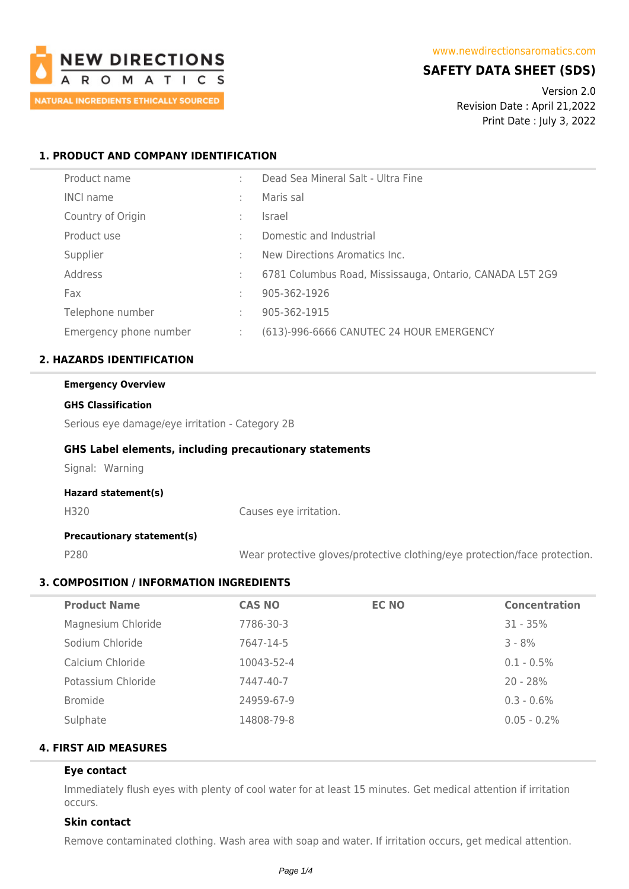

# **SAFETY DATA SHEET (SDS)**

Version 2.0 Revision Date : April 21,2022 Print Date : July 3, 2022

# **1. PRODUCT AND COMPANY IDENTIFICATION**

| Product name           |    | Dead Sea Mineral Salt - Ultra Fine                       |
|------------------------|----|----------------------------------------------------------|
| <b>INCI name</b>       |    | Maris sal                                                |
| Country of Origin      |    | <i>Israel</i>                                            |
| Product use            |    | Domestic and Industrial                                  |
| Supplier               |    | New Directions Aromatics Inc.                            |
| Address                |    | 6781 Columbus Road, Mississauga, Ontario, CANADA L5T 2G9 |
| Fax                    |    | 905-362-1926                                             |
| Telephone number       | ÷  | 905-362-1915                                             |
| Emergency phone number | ÷. | (613)-996-6666 CANUTEC 24 HOUR EMERGENCY                 |

# **2. HAZARDS IDENTIFICATION**

| <b>Emergency Overview</b> |                                                               |  |
|---------------------------|---------------------------------------------------------------|--|
| <b>GHS Classification</b> |                                                               |  |
|                           | Serious eye damage/eye irritation - Category 2B               |  |
|                           | <b>GHS Label elements, including precautionary statements</b> |  |
| Signal: Warning           |                                                               |  |
| Hazard statement(s)       |                                                               |  |
| H320                      | Causes eye irritation.                                        |  |

# **Precautionary statement(s)**

P280 Wear protective gloves/protective clothing/eye protection/face protection.

# **3. COMPOSITION / INFORMATION INGREDIENTS**

| <b>CAS NO</b> | <b>EC NO</b> | <b>Concentration</b> |
|---------------|--------------|----------------------|
| 7786-30-3     |              | $31 - 35%$           |
| 7647-14-5     |              | $3 - 8%$             |
| 10043-52-4    |              | $0.1 - 0.5\%$        |
| 7447-40-7     |              | $20 - 28%$           |
| 24959-67-9    |              | $0.3 - 0.6\%$        |
| 14808-79-8    |              | $0.05 - 0.2\%$       |
|               |              |                      |

# **4. FIRST AID MEASURES**

# **Eye contact**

Immediately flush eyes with plenty of cool water for at least 15 minutes. Get medical attention if irritation occurs.

# **Skin contact**

Remove contaminated clothing. Wash area with soap and water. If irritation occurs, get medical attention.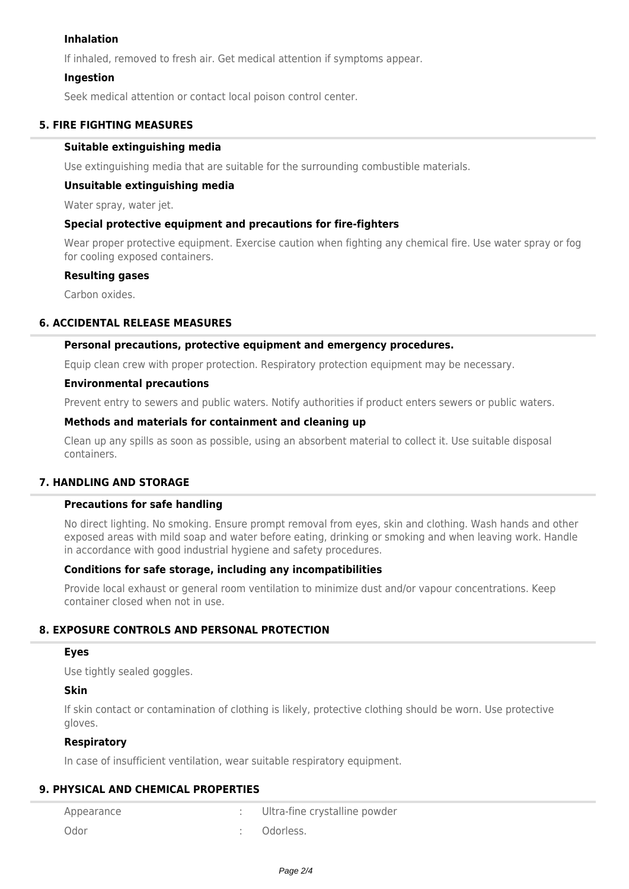# **Inhalation**

If inhaled, removed to fresh air. Get medical attention if symptoms appear.

# **Ingestion**

Seek medical attention or contact local poison control center.

# **5. FIRE FIGHTING MEASURES**

# **Suitable extinguishing media**

Use extinguishing media that are suitable for the surrounding combustible materials.

#### **Unsuitable extinguishing media**

Water spray, water jet.

#### **Special protective equipment and precautions for fire-fighters**

Wear proper protective equipment. Exercise caution when fighting any chemical fire. Use water spray or fog for cooling exposed containers.

#### **Resulting gases**

Carbon oxides.

# **6. ACCIDENTAL RELEASE MEASURES**

# **Personal precautions, protective equipment and emergency procedures.**

Equip clean crew with proper protection. Respiratory protection equipment may be necessary.

#### **Environmental precautions**

Prevent entry to sewers and public waters. Notify authorities if product enters sewers or public waters.

# **Methods and materials for containment and cleaning up**

Clean up any spills as soon as possible, using an absorbent material to collect it. Use suitable disposal containers.

# **7. HANDLING AND STORAGE**

# **Precautions for safe handling**

No direct lighting. No smoking. Ensure prompt removal from eyes, skin and clothing. Wash hands and other exposed areas with mild soap and water before eating, drinking or smoking and when leaving work. Handle in accordance with good industrial hygiene and safety procedures.

# **Conditions for safe storage, including any incompatibilities**

Provide local exhaust or general room ventilation to minimize dust and/or vapour concentrations. Keep container closed when not in use.

# **8. EXPOSURE CONTROLS AND PERSONAL PROTECTION**

#### **Eyes**

Use tightly sealed goggles.

# **Skin**

If skin contact or contamination of clothing is likely, protective clothing should be worn. Use protective gloves.

# **Respiratory**

In case of insufficient ventilation, wear suitable respiratory equipment.

# **9. PHYSICAL AND CHEMICAL PROPERTIES**

| Appearance | Ultra-fine crystalline powder |
|------------|-------------------------------|
| Odor       | Odorless.                     |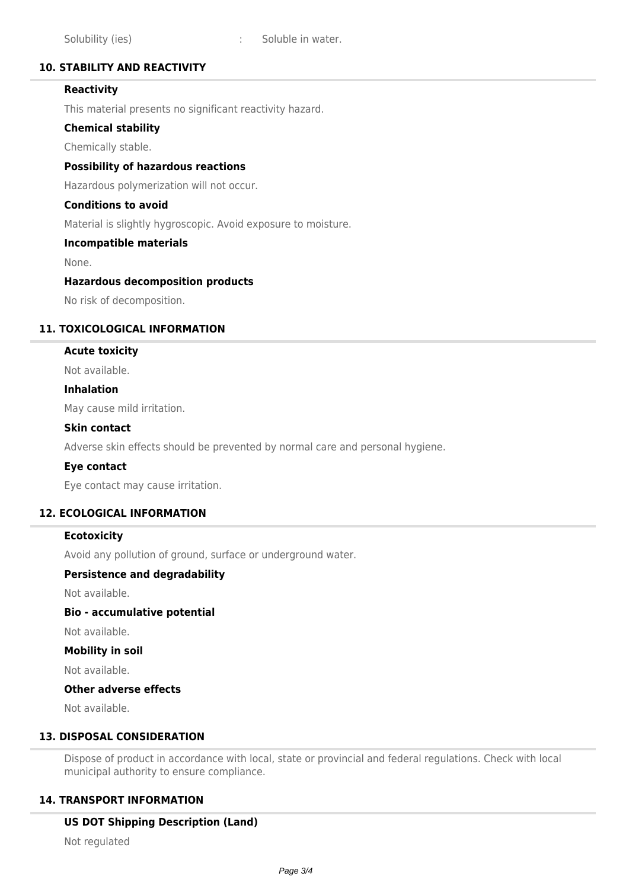# **10. STABILITY AND REACTIVITY**

# **Reactivity**

This material presents no significant reactivity hazard.

# **Chemical stability**

Chemically stable.

#### **Possibility of hazardous reactions**

Hazardous polymerization will not occur.

#### **Conditions to avoid**

Material is slightly hygroscopic. Avoid exposure to moisture.

#### **Incompatible materials**

None.

#### **Hazardous decomposition products**

No risk of decomposition.

# **11. TOXICOLOGICAL INFORMATION**

#### **Acute toxicity**

Not available.

#### **Inhalation**

May cause mild irritation.

#### **Skin contact**

Adverse skin effects should be prevented by normal care and personal hygiene.

#### **Eye contact**

Eye contact may cause irritation.

# **12. ECOLOGICAL INFORMATION**

# **Ecotoxicity**

Avoid any pollution of ground, surface or underground water.

#### **Persistence and degradability**

Not available.

#### **Bio - accumulative potential**

Not available.

#### **Mobility in soil**

Not available.

# **Other adverse effects**

Not available.

# **13. DISPOSAL CONSIDERATION**

Dispose of product in accordance with local, state or provincial and federal regulations. Check with local municipal authority to ensure compliance.

# **14. TRANSPORT INFORMATION**

# **US DOT Shipping Description (Land)**

Not regulated